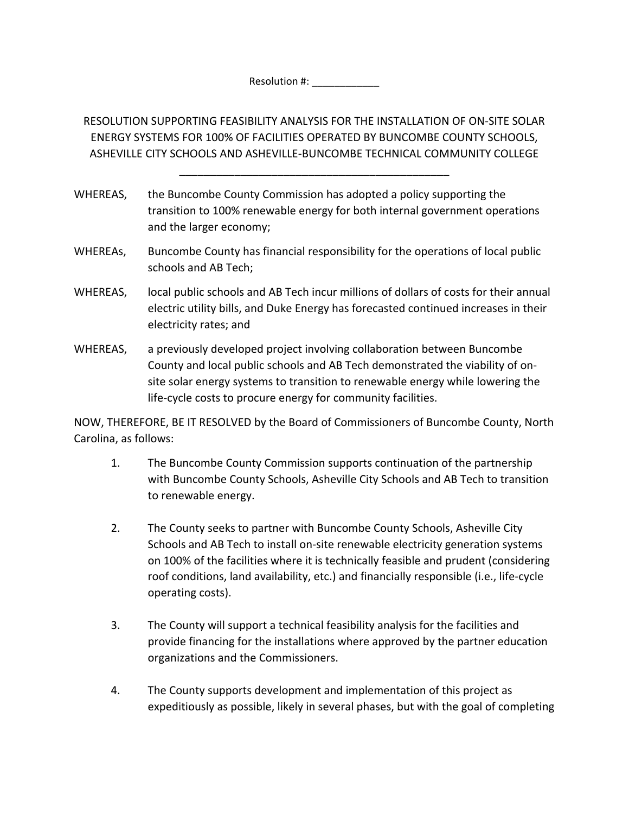Resolution #: \_\_\_\_\_\_\_\_\_\_

RESOLUTION SUPPORTING FEASIBILITY ANALYSIS FOR THE INSTALLATION OF ON‐SITE SOLAR ENERGY SYSTEMS FOR 100% OF FACILITIES OPERATED BY BUNCOMBE COUNTY SCHOOLS, ASHEVILLE CITY SCHOOLS AND ASHEVILLE‐BUNCOMBE TECHNICAL COMMUNITY COLLEGE

\_\_\_\_\_\_\_\_\_\_\_\_\_\_\_\_\_\_\_\_\_\_\_\_\_\_\_\_\_\_\_\_\_\_\_\_\_\_\_\_\_\_\_\_

- WHEREAS, the Buncombe County Commission has adopted a policy supporting the transition to 100% renewable energy for both internal government operations and the larger economy;
- WHEREAs, Buncombe County has financial responsibility for the operations of local public schools and AB Tech;
- WHEREAS, local public schools and AB Tech incur millions of dollars of costs for their annual electric utility bills, and Duke Energy has forecasted continued increases in their electricity rates; and
- WHEREAS, a previously developed project involving collaboration between Buncombe County and local public schools and AB Tech demonstrated the viability of on‐ site solar energy systems to transition to renewable energy while lowering the life‐cycle costs to procure energy for community facilities.

NOW, THEREFORE, BE IT RESOLVED by the Board of Commissioners of Buncombe County, North Carolina, as follows:

- 1. The Buncombe County Commission supports continuation of the partnership with Buncombe County Schools, Asheville City Schools and AB Tech to transition to renewable energy.
- 2. The County seeks to partner with Buncombe County Schools, Asheville City Schools and AB Tech to install on‐site renewable electricity generation systems on 100% of the facilities where it is technically feasible and prudent (considering roof conditions, land availability, etc.) and financially responsible (i.e., life‐cycle operating costs).
- 3. The County will support a technical feasibility analysis for the facilities and provide financing for the installations where approved by the partner education organizations and the Commissioners.
- 4. The County supports development and implementation of this project as expeditiously as possible, likely in several phases, but with the goal of completing